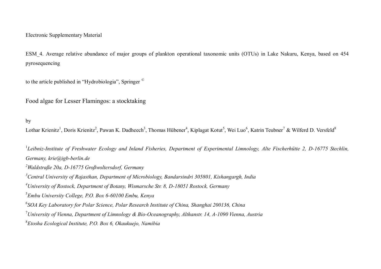# Electronic Supplementary Material

ESM\_4. Average relative abundance of major groups of plankton operational taxonomic units (OTUs) in Lake Nakuru, Kenya, based on 454 pyrosequencing

to the article published in "Hydrobiologia", Springer ©

Food algae for Lesser Flamingos: a stocktaking

by

Lothar Krienitz<sup>1</sup>, Doris Krienitz<sup>2</sup>, Pawan K. Dadheech<sup>3</sup>, Thomas Hübener<sup>4</sup>, Kiplagat Kotut<sup>5</sup>, Wei Luo<sup>6</sup>, Katrin Teubner<sup>7</sup> & Wilferd D. Versfeld<sup>8</sup>

<sup>1</sup>Leibniz-Institute of Freshwater Ecology and Inland Fisheries, Department of Experimental Limnology, Alte Fischerhütte 2, D-16775 Stechlin, *Germany, krie@igb-berlin.de Waldstraße 20a, D-16775 Großwoltersdorf, Germany Central University of Rajasthan, Department of Microbiology, Bandarsindri 305801, Kishangargh, India University of Rostock, Department of Botany, Wismarsche Str. 8, D-18051 Rostock, Germany Embu University College, P.O. Box 6-60100 Embu, Kenya SOA Key Laboratory for Polar Science, Polar Research Institute of China, Shanghai 200136, China University of Vienna, Department of Limnology & Bio-Oceanography, Althanstr. 14, A-1090 Vienna, Austria Etosha Ecological Institute, P.O. Box 6, Okaukuejo, Namibia*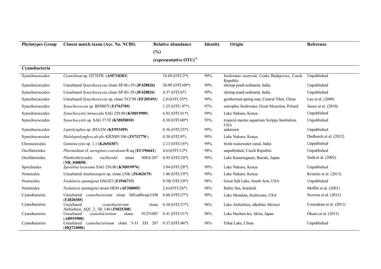| <b>Phylotypes Group</b> | Closest match taxon (Acc. No. NCBI)                                          | <b>Relative abundance</b>         | <b>Identity</b> | Origin                                                      | Reference               |
|-------------------------|------------------------------------------------------------------------------|-----------------------------------|-----------------|-------------------------------------------------------------|-------------------------|
|                         |                                                                              | (%)                               |                 |                                                             |                         |
|                         |                                                                              | (representative OTU) <sup>a</sup> |                 |                                                             |                         |
| Cyanobacteria           |                                                                              |                                   |                 |                                                             |                         |
| Synechococcales         | Cyanobium sp. JJ27STR (AM710383)                                             | $18.69 (OTU2*)$                   | 99%             | freshwater reservoir, Ceske Budejovice, Czech<br>Republic   | Unpublished             |
| Synechococcales         | Uncultured Synechococcus clone SP-B1-29 (JF428826)                           | 20.09 (OTU49*)                    | 99%             | shrimp pond sediment, India                                 | Unpublished             |
| Synechococcales         | Uncultured Synechococcus clone SP-B1-29 (JF428826)                           | $4.37 (OTU6*)$                    | 99%             | shrimp pond sediment, India                                 | Unpublished             |
| Synechococcales         | Uncultured Synechococcus sp. clone YCC98 (EF205493)                          | $2.81(OTU35*)$                    | 99%             | geothermal spring mat, Central Tibet, China                 | Lau et al. (2009)       |
| Synechococcales         | Synechococcus sp. BE0807I (FJ763789)                                         | $1.25$ (OTU 47 <sup>*</sup> )     | 97%             | eutrophic freshwater, Great Mazurian, Poland                | Jasser et al. $(2010)$  |
| Synechococcales         | Synechocystis minuscula SAG 258.80 (KM019989)                                | $6.93$ (OTU41*)                   | 99%             | Lake Nakuru, Kenya                                          | Unpublished             |
| Synechococcales         | Synechocystis sp. SAG 37.92 (KM020010)                                       | $0.30$ (OTU40*)                   | 93%             | tropical marine aquarium Scripps Institution,<br><b>USA</b> | Unpublished             |
| Synechococcales         | Leptolyngbya sp. BTA356 (KF953499)                                           | $0.36$ (OTU25*)                   | 99%             | unknown                                                     | Unpublished             |
| Synechococcales         | Haloleptolyngbya alcalis KR2005/106 (JN712770)                               | $0.30$ (OTU8*)                    | 99%             | Lake Nakuru, Kenya                                          | Dadheech et al. (2012)  |
| Chroococcales           | Geminocystis sp. 1.1 (KJ654307)                                              | $2.13$ (OTU18*)                   | 99%             | fresh wastewater canal, India                               | Unpublished             |
| Oscillatoriales         | Phormidium cf. aerugineo-coeruleum R-aq (EU196641)                           | $4.61(OTU12*)$                    | 98%             | unpublished, Czech Republic                                 | Unpublished             |
| Oscillatoriales         | Planktothricoides<br>raciborskii<br><b>NIES-207</b><br>strain<br>(NR 040858) | $0.95$ (OTU24*)                   | 99%             | Lake Kasumigaura, Ibaraki, Japan                            | Suda et al. (2002)      |
| Spirulinales            | Spirulina laxissima SAG 256.80 (KM019976)                                    | $3.04$ (OTU28*)                   | 99%             | Lake Nakuru, Kenya                                          | Unpublished             |
| Nostocales              | Uncultured Anabaenopsis sp. clone LNK (JX462679)                             | $1.46$ (OTU19*)                   | 99%             | Lake Nakuru. Kenya                                          | Krienitz et al. (2013)  |
| Nostocales              | Nodularia spumigena GSL023 (FJ546713)                                        | 8.58(OTU10*)                      | 98%             | Great Salt Lake, South Arm, USA                             | Unpublished             |
| Nostocales              | Nodularia spumigena strain HEM (AF268005)                                    | $2.61(OTU26*)$                    | 98%             | Baltic Sea, brackish                                        | Moffitt et al. (2001)   |
| Cyanobacteria           | cyanobacterium clone MEsu06cnp11D8<br>Uncultured<br>(FJ828385)               | $0.66$ (OTU27*)                   | 99%             | Lake Mendota, freshwater, USA                               | Newton et al. $(2011)$  |
| Cyanobacteria           | Uncultured<br>cyanobacterium<br>clone<br>Alchichica AQ1 2 1B 148 (JN825308)  | $0.38$ (OTU37*)                   | 96%             | Lake Alchichica, alkaline, Mexico                           | Couradeau et al. (2011) |
| Cyanobacteria           | cyanobacterium<br>91251007<br>Uncultured<br>clone:<br>(AB935900)             | $0.41$ (OTU31*)                   | 98%             | Lake Hachiro-ko, Akita, Japan                               | Okano et al. (2015)     |
| Cyanobacteria           | cyanobacteriaum clone 5-31 EH 287<br>Uncultured<br>(HQ724806)                | $0.37$ (OTU46*)                   | 98%             | Erhai Lake, China                                           | Unpublished             |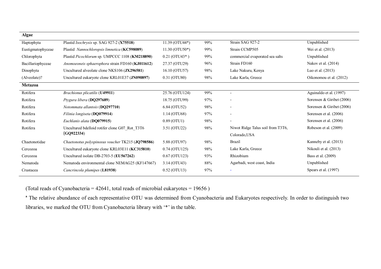| <b>Algae</b>      |                                                   |                              |     |                                   |                           |
|-------------------|---------------------------------------------------|------------------------------|-----|-----------------------------------|---------------------------|
| Haptophyta        | Plastid Isochrysis sp. SAG 927-2 (X75518)         | 11.39 (OTU44*)               | 99% | Strain SAG 927-2                  | Unpublished               |
| Eustigmatophyceae | Plastid Nannochloropsis limnetica (KC598089)      | $11.30 (OTU50*)$             | 99% | Strain CCMP505                    | Wei et al. (2013)         |
| Chlorophyta       | Plastid Picochlorum sp. UMPCCC 1108 (KM218890)    | $0.21$ (OTU43 <sup>*</sup> ) | 99% | commercial evaporated sea salts   | Unpublished               |
| Bacillariophyceae | Anomoeoneis sphaerophora strain FD160 (KJ011612)  | 27.37 (OTU29)                | 96% | Strain FD160                      | Nakov et al. (2014)       |
| Dinophyta         | Uncultured alveolate clone NKS106 (JX296581)      | 16.10 (OTU57)                | 98% | Lake Nakuru, Kenya                | Luo et al. $(2013)$       |
| (Alveolate)?      | Uncultured eukaryote clone KRL01E37 (JN090897)    | 0.31 (OTU80)                 | 98% | Lake Karla, Greece                | Oikonomou et al. (2012)   |
| Metazoa           |                                                   |                              |     |                                   |                           |
| Rotifera          | Brachionus plicatilis (U49911)                    | 25.76 (OTU124)               | 99% | $\sim$                            | Aguinaldo et al. (1997)   |
| Rotifera          | Ptygura libera (DQ297689)                         | 18.75 (OTU99)                | 97% | $\overline{\phantom{a}}$          | Sorensen & Giribet (2006) |
| Rotifera          | Notommata allantois (DQ297710)                    | 6.84 (OTU52)                 | 98% | $\overline{\phantom{a}}$          | Sorensen & Giribet (2006) |
| Rotifera          | Filinia longiseta (DQ079914)                      | 1.14 (OTU68)                 | 97% | $\sim$                            | Sorensen et al. (2006)    |
| Rotifera          | Euchlanis alata (DQ079915)                        | $0.89$ (OTU1)                | 98% | $\overline{\phantom{a}}$          | Sorensen et al. (2006)    |
| Rotifera          | Uncultured bdelloid rotifer clone G07 Rot T3T6    | 3.51 (OTU22)                 | 98% | Niwot Ridge Talus soil from T3T6, | Robeson et al. (2009)     |
|                   | (GQ922334)                                        |                              |     | Colorado, USA                     |                           |
| Chaetonotidae     | Chaetonotus polyspinosus voucher TK215 (JQ798586) | 5.88 (OTU97)                 | 98% | <b>Brazil</b>                     | Kanneby et al. (2013)     |
| Cercozoa          | Uncultured eukaryote clone KRL03E11 (KC315810)    | $0.74$ (OTU125)              | 98% | Lake Karla, Greece                | Nikouli et al. (2013)     |
| Cercozoa          | Uncultured isolate DB-2703-5 (EU567262)           | $0.67$ (OTU123)              | 93% | Rhizobium                         | Bass et al. (2009)        |
| Nematoda          | Nematoda environmental clone NEMAG25 (KF147667)   | 3.14 (OTU43)                 | 88% | Agarbadi, west coast, India       | Unpublished               |
| Crustacea         | Cancrincola plumipes (L81938)                     | $0.52$ (OTU13)               | 97% | $\sim$                            | Spears et al. (1997)      |
|                   |                                                   |                              |     |                                   |                           |

(Total reads of Cyanobacteria = 42641, total reads of microbial eukaryotes = 19656 )

**<sup>a</sup>** The relative abundance of each representative OTU was determined from Cyanobacteria and Eukaryotes respectively. In order to distinguish two libraries, we marked the OTU from Cyanobacteria library with '\*' in the table.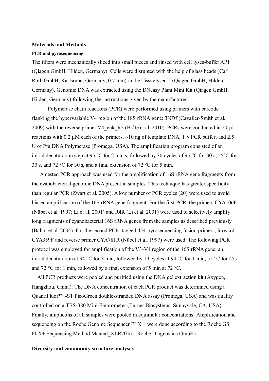### **Materials and Methods**

#### **PCR and pyrosequencing**

The filters were mechanically sliced into small pieces and rinsed with cell lyses-buffer AP1 (Qiagen GmbH, Hilden, Germany). Cells were disrupted with the help of glass beads (Carl Roth GmbH, Karlsruhe, Germany; 0.7 mm) in the Tissuelyser II (Qiagen GmbH, Hilden, Germany). Genomic DNA was extracted using the DNeasy Plant Mini Kit (Qiagen GmbH, Hilden, Germany) following the instructions given by the manufacturer.

Polymerase chain reactions (PCR) were performed using primers with barcode flanking the hypervariable V4 region of the 18S rRNA gene: 3NDf (Cavalier-Smith et al. 2009) with the reverse primer V4\_euk\_R2 (Bråte et al. 2010). PCRs were conducted in 20-μL reactions with 0.2 μM each of the primers,  $\sim$ 10 ng of template DNA,  $1 \times PCR$  buffer, and 2.5 U of Pfu DNA Polymerase (Promega, USA). The amplification program consisted of an initial denaturation step at 95 °C for 2 min s, followed by 30 cycles of 95 °C for 30 s, 55°C for 30 s, and 72 °C for 30 s, and a final extension of 72 °C for 5 min.

A nested PCR approach was used for the amplification of 16S rRNA gene fragments from the cyanobacterial genomic DNA present in samples. This technique has greater specificity than regular PCR (Zwart et al. 2005). A low number of PCR cycles (20) were used to avoid biased amplification of the 16S rRNA gene fragment. For the first PCR, the primers CYA106F (Nübel et al. 1997; Li et al. 2001) and R4R (Li et al. 2001) were used to selectively amplify long fragments of cyanobacterial 16S rRNA genes from the samples as described previously (Ballot et al. 2004). For the second PCR, tagged 454-pyrosequencing fusion primers, forward CYA359F and reverse primer CYA781R (Nübel et al. 1997) were used. The following PCR protocol was employed for amplification of the V3-V4 region of the 16S rRNA gene: an initial denaturation at 94 °C for 3 min, followed by 19 cycles at 94 °C for 1 min, 55 °C for 45s and 72 °C for 1 min, followed by a final extension of 5 min at 72 °C.

All PCR products were pooled and purified using the DNA gel extraction kit (Axygen, Hangzhou, China). The DNA concentration of each PCR product was determined using a QuantiFluor™ -ST PicoGreen double-stranded DNA assay (Promega, USA) and was quality controlled on a TBS-380 Mini-Fluorometer (Turner Biosystems, Sunnyvale, CA, USA). Finally, amplicons of all samples were pooled in equimolar concentrations. Amplification and sequencing on the Roche Genome Sequencer  $FLX +$  were done according to the Roche GS FLX+ Sequencing Method Manual\_XLR70 kit (Roche Diagnostics GmbH).

## **Diversity and community structure analyses**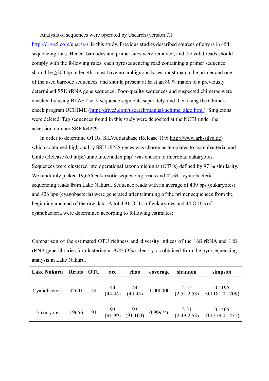Analysis of sequences were operated by Usearch (version 7.1

http://drive5.com/uparse/) in this study. Previous studies described sources of errors in 454 sequencing runs. Hence, barcodes and primer sites were removed, and the valid reads should comply with the following rules: each pyrosequencing read containing a primer sequence should be  $\geq$ 200 bp in length, must have no ambiguous bases, must match the primer and one of the used barcode sequences, and should present at least an 80 % match to a previously determined SSU rRNA gene sequence. Poor-quality sequences and suspected chimeras were checked by using BLAST with sequence segments separately, and then using the Chimera check program UCHIME (http://drive5.com/usearch/manual/uchime\_algo.html). Singletons were deleted. Tag sequences found in this study were deposited at the NCBI under the accession number SRP064229.

In order to determine OTUs, SILVA database (Release 119: http://www.arb-silva.de) which contained high quality SSU rRNA genes was chosen as templates to cyanobacteria, and Unite (Release 6.0 http://unite.ut.ee/index.php) was chosen to microbial eukaryotes. Sequences were clustered into operational taxonomic units (OTUs) defined by 97 % similarity. We randomly picked 19,656 eukaryotic sequencing reads and 42,641 cyanobacteria sequencing reads from Lake Nakuru. Sequence reads with an average of 409 bps (eukaryotes) and 426 bps (cyanobacteria) were generated after trimming of the primer sequences from the beginning and end of the raw data. A total 91 OTUs of eukaryotes and 44 OTUs of cyanobacteria were determined according to following estimates:

| <b>Lake Nakuru</b> | Reads OTU | ace | chao | coverage | shannon | simpson                                                                                                   |
|--------------------|-----------|-----|------|----------|---------|-----------------------------------------------------------------------------------------------------------|
|                    |           |     |      |          |         | Cyanobacteria 42641 44 44 44 1.000000 2.52 0.1195<br>(44,44) (44,44) 1.000000 (2.51,2.53) (0.1181,0.1209) |
|                    |           |     |      |          |         | Eukaryotes 19656 91 93 93 0.999746 2.51 0.1405<br>(91,99) (91,103) 0.999746 (2.49,2.53) (0.1379,0.1431)   |

Comparison of the estimated OTU richness and diversity indices of the 16S rRNA and 18S rRNA gene libraries for clustering at 97% (3%) identity, as obtained from the pyrosequencing analysis in Lake Nakuru.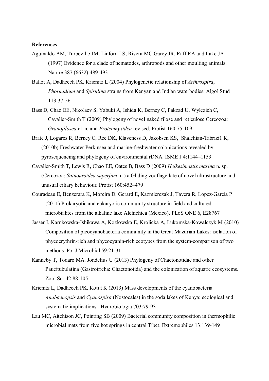## **References**

Aguinaldo AM, Turbeville JM, Linford LS, Rivera MC,Garey JR, Raff RA and Lake JA (1997) Evidence for a clade of nematodes, arthropods and other moulting animals. Nature 387 (6632):489-493

Ballot A, Dadheech PK, Krienitz L (2004) Phylogenetic relationship of *Arthrospira*, *Phormidium* and *Spirulina* strains from Kenyan and Indian waterbodies. Algol Stud 113:37-56

- Bass D, Chao EE, Nikolaev S, Yabuki A, Ishida K, Berney C, Pakzad U, Wylezich C, Cavalier-Smith T (2009) Phylogeny of novel naked filose and reticulose Cercozoa: *Granofilosea* cl. n. and *Proteomyxidea* revised. Protist 160:75-109
- Bråte J, Logares R, Berney C, Ree DK, Klaveness D, Jakobsen KS, Shalchian-Tabrizi1 K, (2010b) Freshwater Perkinsea and marine-freshwater colonizations revealed by pyrosequencing and phylogeny of environmental rDNA. ISME J 4:1144–1153
- Cavalier-Smith T, Lewis R, Chao EE, Oates B, Bass D (2009) *Helkesimastix marina* n. sp. (Cercozoa: *Sainouroidea superfam*. n.) a Gliding zooflagellate of novel ultrastructure and unusual ciliary behaviour. Protist 160:452–479
- Couradeau E, Benzerara K, Moreira D, Gerard E, Kazmierczak J, Tavera R, Lopez-Garcia P (2011) Prokaryotic and eukaryotic community structure in field and cultured microbialites from the alkaline lake Alchichica (Mexico). PLoS ONE 6, E28767
- Jasser I, Karnkowska-Ishikawa A, Kozlowska E, Krolicka A, Lukomska-Kowalczyk M (2010) Composition of picocyanobacteria community in the Great Mazurian Lakes: isolation of phycoerythrin-rich and phycocyanin-rich ecotypes from the system-comparison of two methods. Pol J Microbiol 59:21-31
- Kanneby T, Todaro MA. Jondelius U (2013) Phylogeny of Chaetonotidae and other Paucitubulatina (Gastrotricha: Chaetonotida) and the colonization of aquatic ecosystems. Zool Scr 42:88-105
- Krienitz L, Dadheech PK, Kotut K (2013) Mass developments of the cyanobacteria *Anabaenopsis* and *Cyanospira* (Nostocales) in the soda lakes of Kenya: ecological and systematic implications. Hydrobiologia 703:79-93
- Lau MC, Aitchison JC, Pointing SB (2009) Bacterial community composition in thermophilic microbial mats from five hot springs in central Tibet. Extremophiles 13:139-149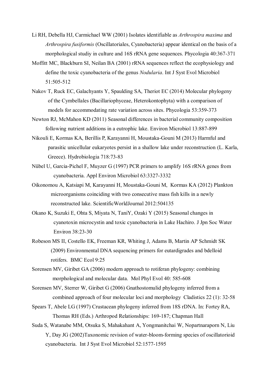- Li RH, Debella HJ, Carmichael WW (2001) Isolates identifiable as *Arthrospira maxima* and *Arthrospira fusiformis* (Oscillatoriales, Cyanobacteria) appear identical on the basis of a morphological studiy in culture and 16S rRNA gene sequences. Phycologia 40:367-371
- Moffitt MC, Blackburn SI, Neilan BA (2001) rRNA sequences reflect the ecophysiology and define the toxic cyanobacteria of the genus *Nodularia*. Int J Syst Evol Microbiol 51:505-512
- Nakov T, Ruck EC, Galachyants Y, Spaulding SA, Theriot EC (2014) Molecular phylogeny of the Cymbellales (Bacillariophyceae, Heterokontophyta) with a comparison of models for accommodating rate variation across sites. Phycologia 53:359-373
- Newton RJ, McMahon KD (2011) Seasonal differences in bacterial community composition following nutrient additions in a eutrophic lake. Environ Microbiol 13:887-899
- Nikouli E, Kormas KA, Berillis P, Karayanni H, Moustaka-Gouni M (2013) Harmful and parasitic unicellular eukaryotes persist in a shallow lake under reconstruction (L. Karla, Greece). Hydrobiologia 718:73-83
- Nübel U, Garcia-Pichel F, Muyzer G (1997) PCR primers to amplify 16S rRNA genes from cyanobacteria. Appl Environ Microbiol 63:3327-3332
- Oikonomou A, Katsiapi M, Karayanni H, Moustaka-Gouni M, Kormas KA (2012) Plankton microorganisms coinciding with two consecutive mass fish kills in a newly reconstructed lake. ScientificWorldJournal 2012:504135
- Okano K, Suzuki E, Ohta S, Miyata N, TaniY, Ozaki Y (2015) Seasonal changes in cyanotoxin microcystin and toxic cyanobacteria in Lake Hachiro. J Jpn Soc Water Environ 38:23-30
- Robeson MS II, Costello EK, Freeman KR, Whiting J, Adams B, Martin AP Schmidt SK (2009) Environmental DNA sequencing primers for eutardigrades and bdelloid rotifers. BMC Ecol 9:25
- Sorensen MV, Giribet GA (2006) modern approach to rotiferan phylogeny: combining morphological and molecular data. Mol Phyl Evol 40: 585-608
- Sorensen MV, Sterrer W, Giribet G (2006) Gnathostomulid phylogeny inferred from a combined approach of four molecular loci and morphology Cladistics 22 (1): 32-58
- Spears T, Abele LG (1997) Crustacean phylogeny inferred from 18S rDNA. In: Fortey RA, Thomas RH (Eds.) Arthropod Relationships: 169-187; Chapman Hall
- Suda S, Watanabe MM, Otsuka S, Mahakahant A, Yongmanitchai W, Nopartnaraporn N, Liu Y, Day JG (2002)Taxonomic revision of water-bloom-forming species of oscillatorioid cyanobacteria. Int J Syst Evol Microbiol 52:1577-1595